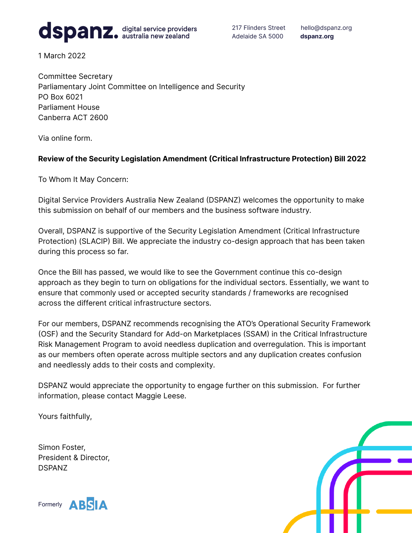

217 Flinders Street hello@dspanz.org Adelaide SA 5000 **dspanz.org**

1 March 2022

Committee Secretary Parliamentary Joint Committee on Intelligence and Security PO Box 6021 Parliament House Canberra ACT 2600

Via online form.

## **Review of the Security Legislation Amendment (Critical Infrastructure Protection) Bill 2022**

To Whom It May Concern:

Digital Service Providers Australia New Zealand (DSPANZ) welcomes the opportunity to make this submission on behalf of our members and the business software industry.

Overall, DSPANZ is supportive of the Security Legislation Amendment (Critical Infrastructure Protection) (SLACIP) Bill. We appreciate the industry co-design approach that has been taken during this process so far.

Once the Bill has passed, we would like to see the Government continue this co-design approach as they begin to turn on obligations for the individual sectors. Essentially, we want to ensure that commonly used or accepted security standards / frameworks are recognised across the different critical infrastructure sectors.

For our members, DSPANZ recommends recognising the ATO's Operational Security Framework (OSF) and the Security Standard for Add-on Marketplaces (SSAM) in the Critical Infrastructure Risk Management Program to avoid needless duplication and overregulation. This is important as our members often operate across multiple sectors and any duplication creates confusion and needlessly adds to their costs and complexity.

DSPANZ would appreciate the opportunity to engage further on this submission. For further information, please contact Maggie Leese.

Yours faithfully,

Simon Foster, President & Director, DSPANZ